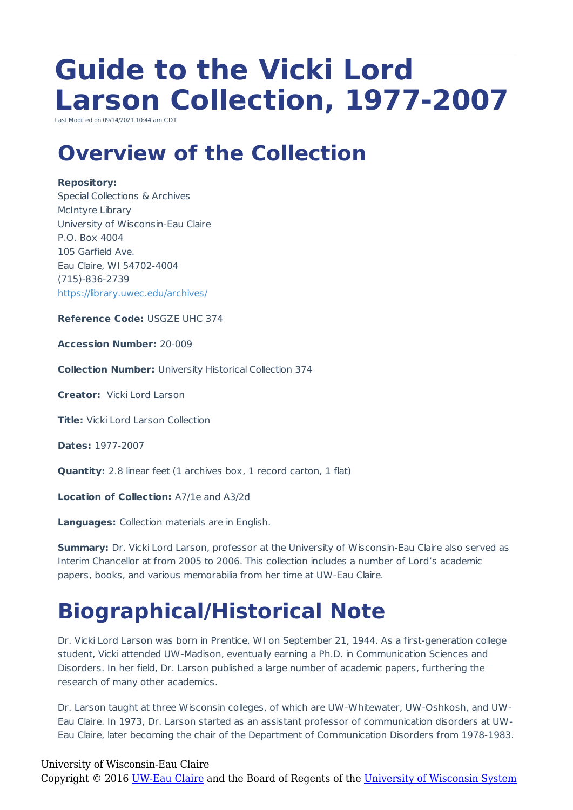# **Guide to the Vicki Lord Larson Collection, 1977-2007**

Last Modified on 09/14/2021 10:44 am CD

### **Overview of the Collection**

#### **Repository:**

Special Collections & Archives McIntyre Library University of Wisconsin-Eau Claire P.O. Box 4004 105 Garfield Ave. Eau Claire, WI 54702-4004 (715)-836-2739 https://library.uwec.edu/archives/

**Reference Code:** USGZE UHC 374

**Accession Number:** 20-009

**Collection Number:** University Historical Collection 374

**Creator:** Vicki Lord Larson

**Title:** Vicki Lord Larson Collection

**Dates:** 1977-2007

**Quantity:** 2.8 linear feet (1 archives box, 1 record carton, 1 flat)

**Location of Collection:** A7/1e and A3/2d

**Languages:** Collection materials are in English.

**Summary:** Dr. Vicki Lord Larson, professor at the University of Wisconsin-Eau Claire also served as Interim Chancellor at from 2005 to 2006. This collection includes a number of Lord's academic papers, books, and various memorabilia from her time at UW-Eau Claire.

## **Biographical/Historical Note**

Dr. Vicki Lord Larson was born in Prentice, WI on September 21, 1944. As a first-generation college student, Vicki attended UW-Madison, eventually earning a Ph.D. in Communication Sciences and Disorders. In her field, Dr. Larson published a large number of academic papers, furthering the research of many other academics.

Dr. Larson taught at three Wisconsin colleges, of which are UW-Whitewater, UW-Oshkosh, and UW-Eau Claire. In 1973, Dr. Larson started as an assistant professor of communication disorders at UW-Eau Claire, later becoming the chair of the Department of Communication Disorders from 1978-1983.

#### University of Wisconsin-Eau Claire Copyright © 2016 [UW-Eau Claire](http://www.uwec.edu) and the Board of Regents of the [University of Wisconsin System](http://www.uwsa.edu/)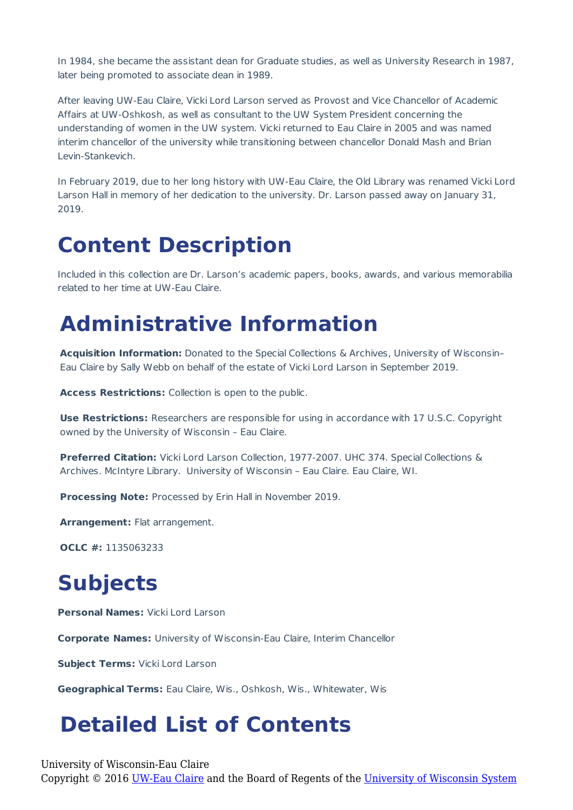In 1984, she became the assistant dean for Graduate studies, as well as University Research in 1987, later being promoted to associate dean in 1989.

After leaving UW-Eau Claire, Vicki Lord Larson served as Provost and Vice Chancellor of Academic Affairs at UW-Oshkosh, as well as consultant to the UW System President concerning the understanding of women in the UW system. Vicki returned to Eau Claire in 2005 and was named interim chancellor of the university while transitioning between chancellor Donald Mash and Brian Levin-Stankevich.

In February 2019, due to her long history with UW-Eau Claire, the Old Library was renamed Vicki Lord Larson Hall in memory of her dedication to the university. Dr. Larson passed away on January 31, 2019.

### **Content Description**

Included in this collection are Dr. Larson's academic papers, books, awards, and various memorabilia related to her time at UW-Eau Claire.

### **Administrative Information**

**Acquisition Information:** Donated to the Special Collections & Archives, University of Wisconsin– Eau Claire by Sally Webb on behalf of the estate of Vicki Lord Larson in September 2019.

**Access Restrictions:** Collection is open to the public.

**Use Restrictions:** Researchers are responsible for using in accordance with 17 U.S.C. Copyright owned by the University of Wisconsin – Eau Claire.

**Preferred Citation:** Vicki Lord Larson Collection, 1977-2007. UHC 374. Special Collections & Archives. McIntyre Library. University of Wisconsin – Eau Claire. Eau Claire, WI.

**Processing Note:** Processed by Erin Hall in November 2019.

**Arrangement:** Flat arrangement.

**OCLC #:** 1135063233

## **Subjects**

**Personal Names:** Vicki Lord Larson

**Corporate Names:** University of Wisconsin-Eau Claire, Interim Chancellor

**Subject Terms:** Vicki Lord Larson

**Geographical Terms:** Eau Claire, Wis., Oshkosh, Wis., Whitewater, Wis

### **Detailed List of Contents**

University of Wisconsin-Eau Claire

Copyright © 2016 [UW-Eau Claire](http://www.uwec.edu) and the Board of Regents of the [University of Wisconsin System](http://www.uwsa.edu/)